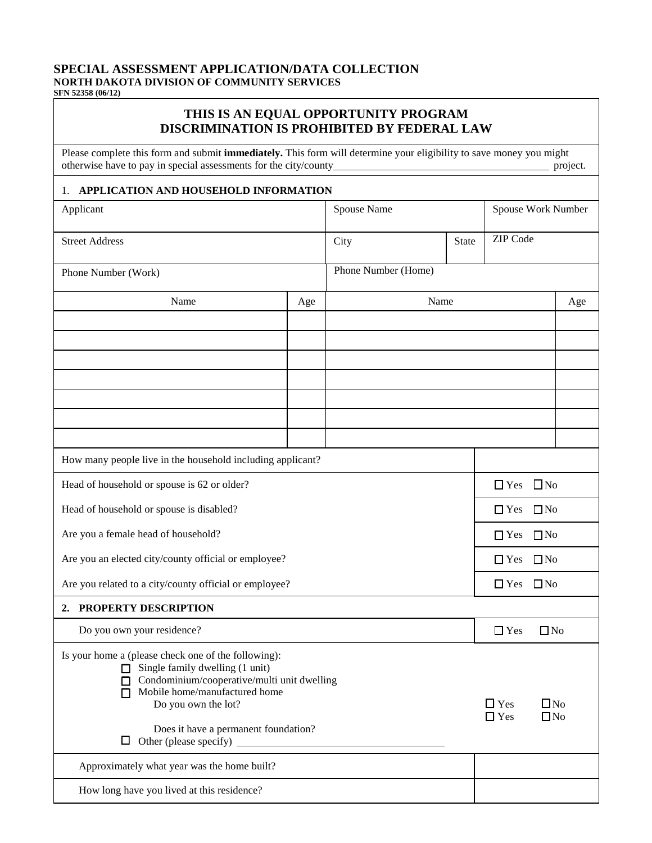## **SPECIAL ASSESSMENT APPLICATION/DATA COLLECTION NORTH DAKOTA DIVISION OF COMMUNITY SERVICES**

**SFN 52358 (06/12)**

## **THIS IS AN EQUAL OPPORTUNITY PROGRAM DISCRIMINATION IS PROHIBITED BY FEDERAL LAW**

Please complete this form and submit **immediately.** This form will determine your eligibility to save money you might otherwise have to pay in special assessments for the city/county project.

## 1. **APPLICATION AND HOUSEHOLD INFORMATION**

| Applicant                                                                                                                                                                                                                                                 |     | Spouse Name              |                              | Spouse Work Number      |     |  |
|-----------------------------------------------------------------------------------------------------------------------------------------------------------------------------------------------------------------------------------------------------------|-----|--------------------------|------------------------------|-------------------------|-----|--|
| <b>Street Address</b>                                                                                                                                                                                                                                     |     | City                     | <b>State</b>                 | ZIP Code                |     |  |
| Phone Number (Work)                                                                                                                                                                                                                                       |     | Phone Number (Home)      |                              |                         |     |  |
| Name                                                                                                                                                                                                                                                      | Age | Name                     |                              |                         | Age |  |
|                                                                                                                                                                                                                                                           |     |                          |                              |                         |     |  |
|                                                                                                                                                                                                                                                           |     |                          |                              |                         |     |  |
|                                                                                                                                                                                                                                                           |     |                          |                              |                         |     |  |
|                                                                                                                                                                                                                                                           |     |                          |                              |                         |     |  |
|                                                                                                                                                                                                                                                           |     |                          |                              |                         |     |  |
|                                                                                                                                                                                                                                                           |     |                          |                              |                         |     |  |
| How many people live in the household including applicant?                                                                                                                                                                                                |     |                          |                              |                         |     |  |
| Head of household or spouse is 62 or older?                                                                                                                                                                                                               |     |                          |                              | $\Box$ No<br>$\Box$ Yes |     |  |
| Head of household or spouse is disabled?                                                                                                                                                                                                                  |     |                          |                              | $\Box$ Yes<br>$\Box$ No |     |  |
| Are you a female head of household?                                                                                                                                                                                                                       |     |                          |                              | $\Box$ Yes<br>$\Box$ No |     |  |
| Are you an elected city/county official or employee?                                                                                                                                                                                                      |     |                          |                              | $\Box$ Yes<br>$\Box$ No |     |  |
| Are you related to a city/county official or employee?                                                                                                                                                                                                    |     |                          |                              | $\Box$ Yes<br>$\Box$ No |     |  |
| 2. PROPERTY DESCRIPTION                                                                                                                                                                                                                                   |     |                          |                              |                         |     |  |
| Do you own your residence?                                                                                                                                                                                                                                |     |                          |                              | $\Box$ Yes<br>$\Box$ No |     |  |
| Is your home a (please check one of the following):<br>Single family dwelling (1 unit)<br>п<br>Condominium/cooperative/multi unit dwelling<br>ப<br>Mobile home/manufactured home<br>Do you own the lot?<br>Does it have a permanent foundation?<br>$\Box$ |     | $\Box$ Yes<br>$\Box$ Yes | $\square$ No<br>$\square$ No |                         |     |  |
| Approximately what year was the home built?                                                                                                                                                                                                               |     |                          |                              |                         |     |  |
| How long have you lived at this residence?                                                                                                                                                                                                                |     |                          |                              |                         |     |  |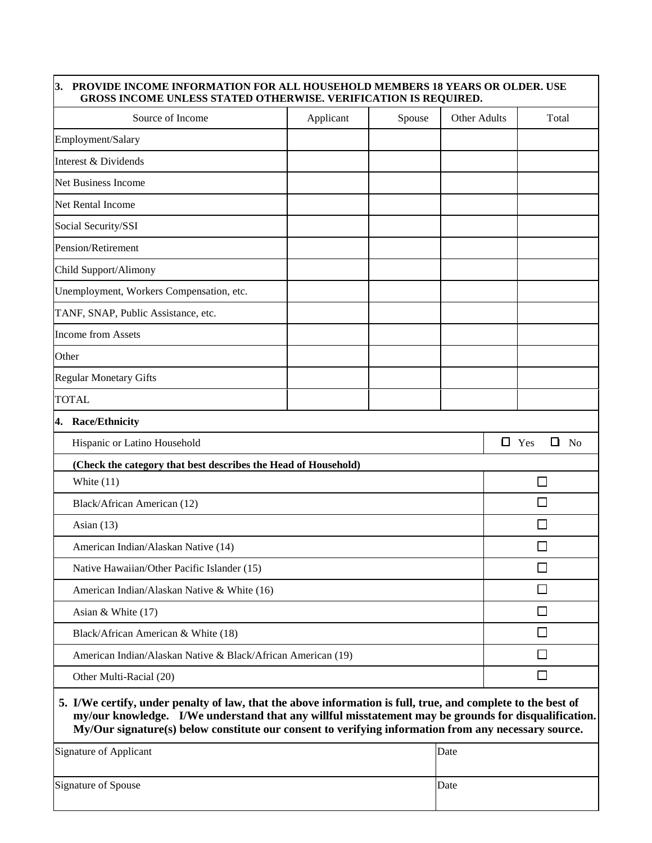## **3. PROVIDE INCOME INFORMATION FOR ALL HOUSEHOLD MEMBERS 18 YEARS OR OLDER. USE GROSS INCOME UNLESS STATED OTHERWISE. VERIFICATION IS REQUIRED.**

| Source of Income                                                                                                                                                                                                     | Applicant | Spouse | Other Adults |                                      | Total        |  |
|----------------------------------------------------------------------------------------------------------------------------------------------------------------------------------------------------------------------|-----------|--------|--------------|--------------------------------------|--------------|--|
| Employment/Salary                                                                                                                                                                                                    |           |        |              |                                      |              |  |
| Interest & Dividends                                                                                                                                                                                                 |           |        |              |                                      |              |  |
| <b>Net Business Income</b>                                                                                                                                                                                           |           |        |              |                                      |              |  |
| Net Rental Income                                                                                                                                                                                                    |           |        |              |                                      |              |  |
| Social Security/SSI                                                                                                                                                                                                  |           |        |              |                                      |              |  |
| Pension/Retirement                                                                                                                                                                                                   |           |        |              |                                      |              |  |
| Child Support/Alimony                                                                                                                                                                                                |           |        |              |                                      |              |  |
| Unemployment, Workers Compensation, etc.                                                                                                                                                                             |           |        |              |                                      |              |  |
| TANF, SNAP, Public Assistance, etc.                                                                                                                                                                                  |           |        |              |                                      |              |  |
| <b>Income from Assets</b>                                                                                                                                                                                            |           |        |              |                                      |              |  |
| Other                                                                                                                                                                                                                |           |        |              |                                      |              |  |
| <b>Regular Monetary Gifts</b>                                                                                                                                                                                        |           |        |              |                                      |              |  |
| <b>TOTAL</b>                                                                                                                                                                                                         |           |        |              |                                      |              |  |
| 4. Race/Ethnicity                                                                                                                                                                                                    |           |        |              |                                      |              |  |
| Hispanic or Latino Household                                                                                                                                                                                         |           |        |              | $\Box$ Yes<br>$\Box$<br>$\mathbf{N}$ |              |  |
| (Check the category that best describes the Head of Household)                                                                                                                                                       |           |        |              |                                      |              |  |
| White $(11)$                                                                                                                                                                                                         |           |        |              |                                      | $\mathbf{I}$ |  |
| Black/African American (12)                                                                                                                                                                                          |           |        |              |                                      | $\Box$       |  |
| Asian $(13)$                                                                                                                                                                                                         |           |        |              |                                      |              |  |
| American Indian/Alaskan Native (14)                                                                                                                                                                                  |           |        |              |                                      |              |  |
| Native Hawaiian/Other Pacific Islander (15)                                                                                                                                                                          |           |        |              |                                      | $\Box$       |  |
| American Indian/Alaskan Native & White (16)                                                                                                                                                                          |           |        |              |                                      |              |  |
| Asian & White $(17)$                                                                                                                                                                                                 |           |        |              |                                      | $\Box$       |  |
| Black/African American & White (18)                                                                                                                                                                                  |           |        |              |                                      | □            |  |
| American Indian/Alaskan Native & Black/African American (19)                                                                                                                                                         |           |        |              |                                      | □            |  |
| Other Multi-Racial (20)                                                                                                                                                                                              |           |        |              | $\Box$                               |              |  |
| 5. I/We certify, under penalty of law, that the above information is full, true, and complete to the best of<br>my/our knowledge. I/We understand that any willful misstatement may be grounds for disqualification. |           |        |              |                                      |              |  |

**My/Our signature(s) below constitute our consent to verifying information from any necessary source.** 

| Signature of Applicant | Date |
|------------------------|------|
| Signature of Spouse    | Date |